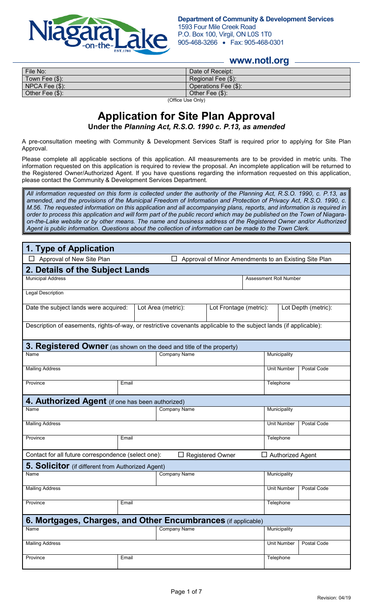

## **www.notl.org**

| File No:            | Date of Receipt:     |  |  |
|---------------------|----------------------|--|--|
| Town Fee $(\$)$ :   | Regional Fee (\$):   |  |  |
| $NPCA$ Fee $(\$)$ : | Operations Fee (\$): |  |  |
| Other Fee $(\$)$ :  | Other Fee (\$):      |  |  |
| (Office Use Only)   |                      |  |  |

e Use Only)

# **Application for Site Plan Approval**

**Under the** *Planning Act, R.S.O. 1990 c. P.13, as amended*

A pre-consultation meeting with Community & Development Services Staff is required prior to applying for Site Plan Approval.

Please complete all applicable sections of this application. All measurements are to be provided in metric units. The information requested on this application is required to review the proposal. An incomplete application will be returned to the Registered Owner/Authorized Agent. If you have questions regarding the information requested on this application, please contact the Community & Development Services Department.

*All information requested on this form is collected under the authority of the Planning Act, R.S.O. 1990, c. P.13, as amended, and the provisions of the Municipal Freedom of Information and Protection of Privacy Act, R.S.O. 1990, c. M.56. The requested information on this application and all accompanying plans, reports, and information is required in order to process this application and will form part of the public record which may be published on the Town of Niagaraon-the-Lake website or by other means. The name and business address of the Registered Owner and/or Authorized Agent is public information. Questions about the collection of information can be made to the Town Clerk.*

| 1. Type of Application                                                                                             |                     |  |                     |                                               |             |                        |             |
|--------------------------------------------------------------------------------------------------------------------|---------------------|--|---------------------|-----------------------------------------------|-------------|------------------------|-------------|
| Approval of New Site Plan<br>Approval of Minor Amendments to an Existing Site Plan<br>$\Box$                       |                     |  |                     |                                               |             |                        |             |
| 2. Details of the Subject Lands                                                                                    |                     |  |                     |                                               |             |                        |             |
| <b>Municipal Address</b>                                                                                           |                     |  |                     |                                               |             | Assessment Roll Number |             |
| Legal Description                                                                                                  |                     |  |                     |                                               |             |                        |             |
| Date the subject lands were acquired:                                                                              |                     |  | Lot Area (metric):  | Lot Frontage (metric):<br>Lot Depth (metric): |             |                        |             |
| Description of easements, rights-of-way, or restrictive covenants applicable to the subject lands (if applicable): |                     |  |                     |                                               |             |                        |             |
| 3. Registered Owner (as shown on the deed and title of the property)                                               |                     |  |                     |                                               |             |                        |             |
| Name                                                                                                               |                     |  | <b>Company Name</b> |                                               |             | Municipality           |             |
| <b>Mailing Address</b>                                                                                             |                     |  |                     |                                               |             | Unit Number            | Postal Code |
| Province<br>Email                                                                                                  |                     |  |                     |                                               |             | Telephone              |             |
| 4. Authorized Agent (if one has been authorized)                                                                   |                     |  |                     |                                               |             |                        |             |
| Name<br>Company Name                                                                                               |                     |  |                     |                                               |             | Municipality           |             |
| <b>Mailing Address</b>                                                                                             |                     |  |                     |                                               |             | <b>Unit Number</b>     | Postal Code |
| Province<br>Email                                                                                                  |                     |  |                     |                                               |             | Telephone              |             |
| Contact for all future correspondence (select one):<br>$\Box$ Authorized Agent<br>$\Box$ Registered Owner          |                     |  |                     |                                               |             |                        |             |
| <b>5. Solicitor</b> (if different from Authorized Agent)                                                           |                     |  |                     |                                               |             |                        |             |
| Name                                                                                                               | <b>Company Name</b> |  |                     | Municipality                                  |             |                        |             |
| <b>Mailing Address</b>                                                                                             |                     |  |                     | <b>Unit Number</b>                            | Postal Code |                        |             |
| Province                                                                                                           | Email               |  |                     |                                               |             | Telephone              |             |
| 6. Mortgages, Charges, and Other Encumbrances (if applicable)                                                      |                     |  |                     |                                               |             |                        |             |
| Name                                                                                                               | <b>Company Name</b> |  |                     | Municipality                                  |             |                        |             |
| <b>Mailing Address</b>                                                                                             |                     |  |                     | <b>Unit Number</b>                            | Postal Code |                        |             |
| Province                                                                                                           | Email               |  |                     |                                               |             | Telephone              |             |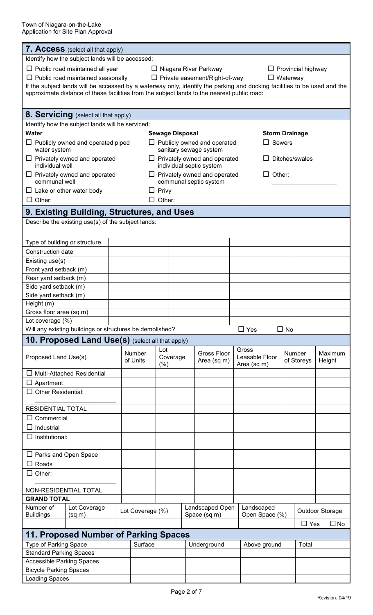Town of Niagara-on-the-Lake Application for Site Plan Approval

| <b>7. Access</b> (select all that apply)                                                                                 |                                                  |                  |                                                               |                                                         |                        |  |                               |  |            |                 |
|--------------------------------------------------------------------------------------------------------------------------|--------------------------------------------------|------------------|---------------------------------------------------------------|---------------------------------------------------------|------------------------|--|-------------------------------|--|------------|-----------------|
|                                                                                                                          | Identify how the subject lands will be accessed: |                  |                                                               |                                                         |                        |  |                               |  |            |                 |
| $\Box$ Public road maintained all year<br>$\Box$ Provincial highway<br>□ Niagara River Parkway                           |                                                  |                  |                                                               |                                                         |                        |  |                               |  |            |                 |
| $\Box$ Public road maintained seasonally                                                                                 |                                                  |                  |                                                               | $\Box$ Private easement/Right-of-way<br>$\Box$ Waterway |                        |  |                               |  |            |                 |
| If the subject lands will be accessed by a waterway only, identify the parking and docking facilities to be used and the |                                                  |                  |                                                               |                                                         |                        |  |                               |  |            |                 |
| approximate distance of these facilities from the subject lands to the nearest public road:                              |                                                  |                  |                                                               |                                                         |                        |  |                               |  |            |                 |
|                                                                                                                          |                                                  |                  |                                                               |                                                         |                        |  |                               |  |            |                 |
| <b>8. Servicing</b> (select all that apply)                                                                              |                                                  |                  |                                                               |                                                         |                        |  |                               |  |            |                 |
| Identify how the subject lands will be serviced:                                                                         |                                                  |                  |                                                               |                                                         |                        |  |                               |  |            |                 |
| <b>Water</b>                                                                                                             |                                                  |                  | <b>Sewage Disposal</b>                                        |                                                         |                        |  | <b>Storm Drainage</b>         |  |            |                 |
| $\Box$ Publicly owned and operated piped                                                                                 |                                                  |                  | $\Box$ Sewers<br>$\Box$ Publicly owned and operated           |                                                         |                        |  |                               |  |            |                 |
| water system                                                                                                             |                                                  |                  |                                                               |                                                         | sanitary sewage system |  |                               |  |            |                 |
| $\Box$ Privately owned and operated                                                                                      |                                                  |                  | $\Box$ Privately owned and operated<br>Ditches/swales         |                                                         |                        |  |                               |  |            |                 |
| individual well                                                                                                          |                                                  |                  | individual septic system                                      |                                                         |                        |  |                               |  |            |                 |
| $\Box$ Privately owned and operated<br>communal well                                                                     |                                                  |                  | $\Box$ Privately owned and operated<br>Other:<br>$\mathsf{L}$ |                                                         |                        |  |                               |  |            |                 |
|                                                                                                                          |                                                  |                  | communal septic system<br>$\Box$ Privy                        |                                                         |                        |  |                               |  |            |                 |
| $\Box$ Lake or other water body<br>$\Box$ Other:                                                                         |                                                  | $\perp$          | Other:                                                        |                                                         |                        |  |                               |  |            |                 |
|                                                                                                                          |                                                  |                  |                                                               |                                                         |                        |  |                               |  |            |                 |
| 9. Existing Building, Structures, and Uses                                                                               |                                                  |                  |                                                               |                                                         |                        |  |                               |  |            |                 |
| Describe the existing use(s) of the subject lands:                                                                       |                                                  |                  |                                                               |                                                         |                        |  |                               |  |            |                 |
|                                                                                                                          |                                                  |                  |                                                               |                                                         |                        |  |                               |  |            |                 |
| Type of building or structure                                                                                            |                                                  |                  |                                                               |                                                         |                        |  |                               |  |            |                 |
| Construction date                                                                                                        |                                                  |                  |                                                               |                                                         |                        |  |                               |  |            |                 |
| Existing use(s)                                                                                                          |                                                  |                  |                                                               |                                                         |                        |  |                               |  |            |                 |
| Front yard setback (m)                                                                                                   |                                                  |                  |                                                               |                                                         |                        |  |                               |  |            |                 |
| Rear yard setback (m)                                                                                                    |                                                  |                  |                                                               |                                                         |                        |  |                               |  |            |                 |
| Side yard setback (m)                                                                                                    |                                                  |                  |                                                               |                                                         |                        |  |                               |  |            |                 |
| Side yard setback (m)                                                                                                    |                                                  |                  |                                                               |                                                         |                        |  |                               |  |            |                 |
| Height (m)                                                                                                               |                                                  |                  |                                                               |                                                         |                        |  |                               |  |            |                 |
| Gross floor area (sq m)                                                                                                  |                                                  |                  |                                                               |                                                         |                        |  |                               |  |            |                 |
| Lot coverage (%)                                                                                                         |                                                  |                  |                                                               |                                                         |                        |  |                               |  |            |                 |
| Will any existing buildings or structures be demolished?<br>$\Box$ Yes<br>$\Box$ No                                      |                                                  |                  |                                                               |                                                         |                        |  |                               |  |            |                 |
| 10. Proposed Land Use(s) (select all that apply)                                                                         |                                                  |                  |                                                               |                                                         |                        |  |                               |  |            |                 |
|                                                                                                                          |                                                  | Number           | Lot                                                           |                                                         | <b>Gross Floor</b>     |  | Gross                         |  | Number     | Maximum         |
| Proposed Land Use(s)                                                                                                     |                                                  | of Units         | Coverage<br>(%)                                               |                                                         | Area (sq m)            |  | Leasable Floor<br>Area (sq m) |  | of Storeys | Height          |
| $\Box$ Multi-Attached Residential                                                                                        |                                                  |                  |                                                               |                                                         |                        |  |                               |  |            |                 |
| $\Box$ Apartment                                                                                                         |                                                  |                  |                                                               |                                                         |                        |  |                               |  |            |                 |
| $\Box$ Other Residential:                                                                                                |                                                  |                  |                                                               |                                                         |                        |  |                               |  |            |                 |
|                                                                                                                          |                                                  |                  |                                                               |                                                         |                        |  |                               |  |            |                 |
| <b>RESIDENTIAL TOTAL</b>                                                                                                 |                                                  |                  |                                                               |                                                         |                        |  |                               |  |            |                 |
| Commercial<br>ப                                                                                                          |                                                  |                  |                                                               |                                                         |                        |  |                               |  |            |                 |
| $\Box$ Industrial                                                                                                        |                                                  |                  |                                                               |                                                         |                        |  |                               |  |            |                 |
| $\Box$ Institutional:                                                                                                    |                                                  |                  |                                                               |                                                         |                        |  |                               |  |            |                 |
|                                                                                                                          |                                                  |                  |                                                               |                                                         |                        |  |                               |  |            |                 |
| $\Box$ Parks and Open Space                                                                                              |                                                  |                  |                                                               |                                                         |                        |  |                               |  |            |                 |
| $\Box$ Roads                                                                                                             |                                                  |                  |                                                               |                                                         |                        |  |                               |  |            |                 |
| $\Box$ Other:                                                                                                            |                                                  |                  |                                                               |                                                         |                        |  |                               |  |            |                 |
|                                                                                                                          |                                                  |                  |                                                               |                                                         |                        |  |                               |  |            |                 |
| NON-RESIDENTIAL TOTAL                                                                                                    |                                                  |                  |                                                               |                                                         |                        |  |                               |  |            |                 |
| <b>GRAND TOTAL</b>                                                                                                       |                                                  |                  |                                                               |                                                         |                        |  |                               |  |            |                 |
| Number of<br>Lot Coverage                                                                                                |                                                  | Lot Coverage (%) |                                                               |                                                         | Landscaped Open        |  | Landscaped                    |  |            | Outdoor Storage |
| <b>Buildings</b><br>(sq m)                                                                                               |                                                  |                  |                                                               |                                                         | Space (sq m)           |  | Open Space (%)                |  |            |                 |
| $\Box$ Yes<br>$\Box$ No                                                                                                  |                                                  |                  |                                                               |                                                         |                        |  |                               |  |            |                 |
|                                                                                                                          | 11. Proposed Number of Parking Spaces            |                  |                                                               |                                                         |                        |  |                               |  |            |                 |
| <b>Type of Parking Space</b>                                                                                             |                                                  | Surface          |                                                               |                                                         | Underground            |  | Above ground                  |  | Total      |                 |
| <b>Standard Parking Spaces</b>                                                                                           |                                                  |                  |                                                               |                                                         |                        |  |                               |  |            |                 |
| <b>Accessible Parking Spaces</b>                                                                                         |                                                  |                  |                                                               |                                                         |                        |  |                               |  |            |                 |
| <b>Bicycle Parking Spaces</b>                                                                                            |                                                  |                  |                                                               |                                                         |                        |  |                               |  |            |                 |
| <b>Loading Spaces</b>                                                                                                    |                                                  |                  |                                                               |                                                         |                        |  |                               |  |            |                 |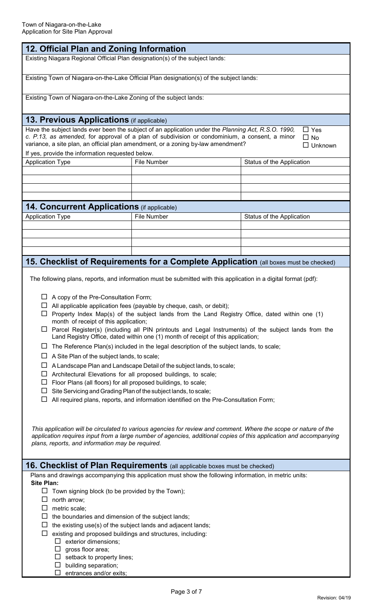| 12. Official Plan and Zoning Information                                                                                                                                                                                                                                                                                                                                                  |                                                                                         |                                                                                      |  |  |  |  |
|-------------------------------------------------------------------------------------------------------------------------------------------------------------------------------------------------------------------------------------------------------------------------------------------------------------------------------------------------------------------------------------------|-----------------------------------------------------------------------------------------|--------------------------------------------------------------------------------------|--|--|--|--|
| Existing Niagara Regional Official Plan designation(s) of the subject lands:                                                                                                                                                                                                                                                                                                              |                                                                                         |                                                                                      |  |  |  |  |
| Existing Town of Niagara-on-the-Lake Official Plan designation(s) of the subject lands:                                                                                                                                                                                                                                                                                                   |                                                                                         |                                                                                      |  |  |  |  |
| Existing Town of Niagara-on-the-Lake Zoning of the subject lands:                                                                                                                                                                                                                                                                                                                         |                                                                                         |                                                                                      |  |  |  |  |
| <b>13. Previous Applications</b> (if applicable)                                                                                                                                                                                                                                                                                                                                          |                                                                                         |                                                                                      |  |  |  |  |
| Have the subject lands ever been the subject of an application under the Planning Act, R.S.O. 1990,<br>$\Box$ Yes<br>c. P.13, as amended, for approval of a plan of subdivision or condominium, a consent, a minor<br>$\Box$ No<br>variance, a site plan, an official plan amendment, or a zoning by-law amendment?<br>$\Box$ Unknown<br>If yes, provide the information requested below. |                                                                                         |                                                                                      |  |  |  |  |
| <b>Application Type</b>                                                                                                                                                                                                                                                                                                                                                                   | <b>File Number</b>                                                                      | Status of the Application                                                            |  |  |  |  |
|                                                                                                                                                                                                                                                                                                                                                                                           |                                                                                         |                                                                                      |  |  |  |  |
|                                                                                                                                                                                                                                                                                                                                                                                           |                                                                                         |                                                                                      |  |  |  |  |
|                                                                                                                                                                                                                                                                                                                                                                                           |                                                                                         |                                                                                      |  |  |  |  |
|                                                                                                                                                                                                                                                                                                                                                                                           |                                                                                         |                                                                                      |  |  |  |  |
| <b>14. Concurrent Applications</b> (if applicable)                                                                                                                                                                                                                                                                                                                                        |                                                                                         |                                                                                      |  |  |  |  |
| <b>Application Type</b><br><b>File Number</b><br>Status of the Application                                                                                                                                                                                                                                                                                                                |                                                                                         |                                                                                      |  |  |  |  |
|                                                                                                                                                                                                                                                                                                                                                                                           |                                                                                         |                                                                                      |  |  |  |  |
|                                                                                                                                                                                                                                                                                                                                                                                           |                                                                                         |                                                                                      |  |  |  |  |
|                                                                                                                                                                                                                                                                                                                                                                                           |                                                                                         |                                                                                      |  |  |  |  |
|                                                                                                                                                                                                                                                                                                                                                                                           |                                                                                         |                                                                                      |  |  |  |  |
|                                                                                                                                                                                                                                                                                                                                                                                           |                                                                                         | 15. Checklist of Requirements for a Complete Application (all boxes must be checked) |  |  |  |  |
| The following plans, reports, and information must be submitted with this application in a digital format (pdf):                                                                                                                                                                                                                                                                          |                                                                                         |                                                                                      |  |  |  |  |
|                                                                                                                                                                                                                                                                                                                                                                                           | A copy of the Pre-Consultation Form;                                                    |                                                                                      |  |  |  |  |
| All applicable application fees (payable by cheque, cash, or debit);                                                                                                                                                                                                                                                                                                                      |                                                                                         |                                                                                      |  |  |  |  |
| Property Index Map(s) of the subject lands from the Land Registry Office, dated within one (1)                                                                                                                                                                                                                                                                                            |                                                                                         |                                                                                      |  |  |  |  |
| month of receipt of this application;                                                                                                                                                                                                                                                                                                                                                     |                                                                                         |                                                                                      |  |  |  |  |
| Parcel Register(s) (including all PIN printouts and Legal Instruments) of the subject lands from the<br>ப<br>Land Registry Office, dated within one (1) month of receipt of this application;                                                                                                                                                                                             |                                                                                         |                                                                                      |  |  |  |  |
| ப                                                                                                                                                                                                                                                                                                                                                                                         | The Reference Plan(s) included in the legal description of the subject lands, to scale; |                                                                                      |  |  |  |  |
| A Site Plan of the subject lands, to scale;<br>ப                                                                                                                                                                                                                                                                                                                                          |                                                                                         |                                                                                      |  |  |  |  |
| ப                                                                                                                                                                                                                                                                                                                                                                                         | A Landscape Plan and Landscape Detail of the subject lands, to scale;                   |                                                                                      |  |  |  |  |
|                                                                                                                                                                                                                                                                                                                                                                                           |                                                                                         |                                                                                      |  |  |  |  |

- $\Box$  Architectural Elevations for all proposed buildings, to scale;
- $\Box$  Floor Plans (all floors) for all proposed buildings, to scale;
- $\Box$  Site Servicing and Grading Plan of the subject lands, to scale;
- $\Box$  All required plans, reports, and information identified on the Pre-Consultation Form;

*This application will be circulated to various agencies for review and comment. Where the scope or nature of the application requires input from a large number of agencies, additional copies of this application and accompanying plans, reports, and information may be required.*

# **16. Checklist of Plan Requirements** (all applicable boxes must be checked)

Plans and drawings accompanying this application must show the following information, in metric units: **Site Plan:** 

- $\Box$  Town signing block (to be provided by the Town);
- $\Box$  north arrow;
- $\square$  metric scale;
- $\Box$  the boundaries and dimension of the subject lands;
- $\Box$  the existing use(s) of the subject lands and adjacent lands;
- $\Box$  existing and proposed buildings and structures, including:
	- $\square$  exterior dimensions;
	- $\square$  gross floor area;
	- $\Box$  setback to property lines;
	- $\square$  building separation;
	- $\square$  entrances and/or exits;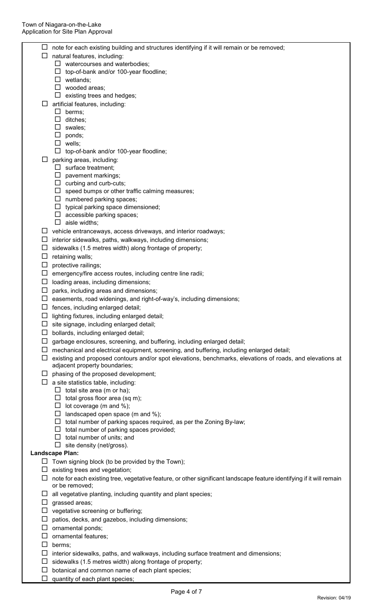|        | note for each existing building and structures identifying if it will remain or be removed;                           |
|--------|-----------------------------------------------------------------------------------------------------------------------|
|        | natural features, including:                                                                                          |
|        | $\Box$ watercourses and waterbodies;                                                                                  |
|        | top-of-bank and/or 100-year floodline;<br>ப                                                                           |
|        | $\Box$ wetlands;                                                                                                      |
|        | $\Box$ wooded areas;                                                                                                  |
|        | $\Box$ existing trees and hedges;                                                                                     |
| ப      | artificial features, including:                                                                                       |
|        | $\Box$ berms;<br>$\Box$ ditches;                                                                                      |
|        | $\square$ swales;                                                                                                     |
|        | $\square$ ponds;                                                                                                      |
|        | $\Box$ wells;                                                                                                         |
|        | top-of-bank and/or 100-year floodline;<br>⊔                                                                           |
| $\Box$ | parking areas, including:                                                                                             |
|        | $\Box$ surface treatment;                                                                                             |
|        | $\Box$ pavement markings;                                                                                             |
|        | $\Box$ curbing and curb-cuts;                                                                                         |
|        | $\Box$ speed bumps or other traffic calming measures;                                                                 |
|        | $\Box$ numbered parking spaces;                                                                                       |
|        | typical parking space dimensioned;<br>⊔                                                                               |
|        | $\Box$ accessible parking spaces;                                                                                     |
|        | $\Box$ aisle widths;                                                                                                  |
| ப      | vehicle entranceways, access driveways, and interior roadways;                                                        |
|        | interior sidewalks, paths, walkways, including dimensions;                                                            |
| ப      | sidewalks (1.5 metres width) along frontage of property;                                                              |
| ப      | retaining walls;                                                                                                      |
|        | protective railings;                                                                                                  |
| ப      | emergency/fire access routes, including centre line radii;                                                            |
| ப      | loading areas, including dimensions;                                                                                  |
| ப      | parks, including areas and dimensions;                                                                                |
| ⊔      | easements, road widenings, and right-of-way's, including dimensions;                                                  |
|        | $\Box$ fences, including enlarged detail;                                                                             |
| □      | lighting fixtures, including enlarged detail;                                                                         |
|        | $\Box$ site signage, including enlarged detail;                                                                       |
| ப      | bollards, including enlarged detail;                                                                                  |
| ப      | garbage enclosures, screening, and buffering, including enlarged detail;                                              |
| ப      | mechanical and electrical equipment, screening, and buffering, including enlarged detail;                             |
| ப      | existing and proposed contours and/or spot elevations, benchmarks, elevations of roads, and elevations at             |
|        | adjacent property boundaries;                                                                                         |
| ப      | phasing of the proposed development;                                                                                  |
| ப      | a site statistics table, including:                                                                                   |
|        | $\Box$ total site area (m or ha);                                                                                     |
|        | $\Box$ total gross floor area (sq m);                                                                                 |
|        | $\Box$ lot coverage (m and %);<br>$\Box$ landscaped open space (m and %);                                             |
|        | $\Box$ total number of parking spaces required, as per the Zoning By-law;                                             |
|        | $\Box$ total number of parking spaces provided;                                                                       |
|        | $\Box$ total number of units; and                                                                                     |
|        | $\Box$ site density (net/gross).                                                                                      |
|        | Landscape Plan:                                                                                                       |
|        | $\Box$ Town signing block (to be provided by the Town);                                                               |
|        | existing trees and vegetation;                                                                                        |
| ⊔      | note for each existing tree, vegetative feature, or other significant landscape feature identifying if it will remain |
|        | or be removed;                                                                                                        |
|        | $\Box$ all vegetative planting, including quantity and plant species;                                                 |
| ப      | grassed areas;                                                                                                        |
|        | $\Box$ vegetative screening or buffering;                                                                             |
| $\Box$ | patios, decks, and gazebos, including dimensions;                                                                     |
| ப      | ornamental ponds;                                                                                                     |
| ப      | ornamental features;                                                                                                  |
| ப      | berms;                                                                                                                |
| ப      | interior sidewalks, paths, and walkways, including surface treatment and dimensions;                                  |
| ப      | sidewalks (1.5 metres width) along frontage of property;                                                              |
| ப      | botanical and common name of each plant species;                                                                      |
| ⊔      | quantity of each plant species;                                                                                       |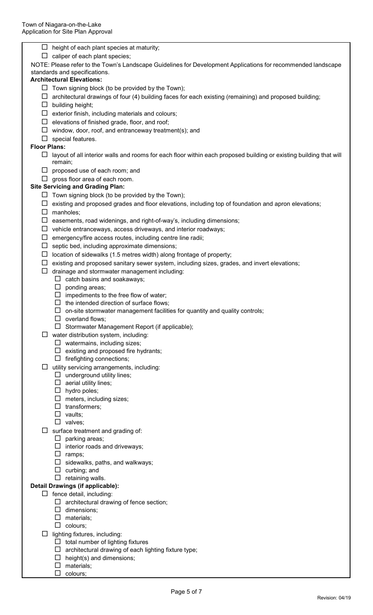| $\Box$ height of each plant species at maturity;<br>caliper of each plant species;                                                 |
|------------------------------------------------------------------------------------------------------------------------------------|
| NOTE: Please refer to the Town's Landscape Guidelines for Development Applications for recommended landscape                       |
| standards and specifications.                                                                                                      |
| <b>Architectural Elevations:</b>                                                                                                   |
| Town signing block (to be provided by the Town);<br>ப                                                                              |
| architectural drawings of four (4) building faces for each existing (remaining) and proposed building;                             |
| building height;<br>ப                                                                                                              |
| exterior finish, including materials and colours;<br>Ц                                                                             |
| elevations of finished grade, floor, and roof;<br>ப                                                                                |
| window, door, roof, and entranceway treatment(s); and<br>ப                                                                         |
| $\Box$<br>special features.                                                                                                        |
| <b>Floor Plans:</b>                                                                                                                |
| layout of all interior walls and rooms for each floor within each proposed building or existing building that will<br>ப<br>remain; |
| $\Box$ proposed use of each room; and                                                                                              |
| gross floor area of each room.<br>$\Box$                                                                                           |
| <b>Site Servicing and Grading Plan:</b>                                                                                            |
| $\Box$ Town signing block (to be provided by the Town);                                                                            |
| existing and proposed grades and floor elevations, including top of foundation and apron elevations;<br>ப                          |
| $\Box$<br>manholes;                                                                                                                |
| easements, road widenings, and right-of-way's, including dimensions;<br>ப                                                          |
| vehicle entranceways, access driveways, and interior roadways;<br>ப                                                                |
| emergency/fire access routes, including centre line radii;<br>ப                                                                    |
| septic bed, including approximate dimensions;<br>ப                                                                                 |
| location of sidewalks (1.5 metres width) along frontage of property;<br>ப                                                          |
| existing and proposed sanitary sewer system, including sizes, grades, and invert elevations;<br>ப                                  |
| drainage and stormwater management including:<br>ப                                                                                 |
| catch basins and soakaways;<br>ப                                                                                                   |
| ponding areas;<br>ப                                                                                                                |
| $\Box$ impediments to the free flow of water;<br>$\Box$ the intended direction of surface flows;                                   |
| on-site stormwater management facilities for quantity and quality controls;                                                        |
| overland flows;                                                                                                                    |
| Stormwater Management Report (if applicable);                                                                                      |
| water distribution system, including:                                                                                              |
| $\Box$ watermains, including sizes;                                                                                                |
| $\Box$ existing and proposed fire hydrants;                                                                                        |
| $\Box$ firefighting connections;                                                                                                   |
| utility servicing arrangements, including:<br>ப                                                                                    |
| $\Box$ underground utility lines;                                                                                                  |
| $\Box$ aerial utility lines;                                                                                                       |
| $\Box$ hydro poles;                                                                                                                |
| $\Box$ meters, including sizes;                                                                                                    |
| $\Box$ transformers;<br>$\Box$ vaults;                                                                                             |
| valves;                                                                                                                            |
| surface treatment and grading of:                                                                                                  |
| $\Box$ parking areas;                                                                                                              |
| interior roads and driveways;                                                                                                      |
| ramps;<br>ப                                                                                                                        |
| sidewalks, paths, and walkways;                                                                                                    |
| curbing; and<br>ப                                                                                                                  |
| retaining walls.<br>$\Box$                                                                                                         |
| Detail Drawings (if applicable):                                                                                                   |
| $\Box$ fence detail, including:                                                                                                    |
| architectural drawing of fence section;                                                                                            |
| dimensions;                                                                                                                        |
| materials;<br>colours;<br>$\Box$                                                                                                   |
|                                                                                                                                    |

- $\Box$  lighting fixtures, including:
	- $\Box$  total number of lighting fixtures
	- $\Box$  architectural drawing of each lighting fixture type;
	- $\Box$  height(s) and dimensions;
	- $\square$  materials;
	- $\Box$  colours;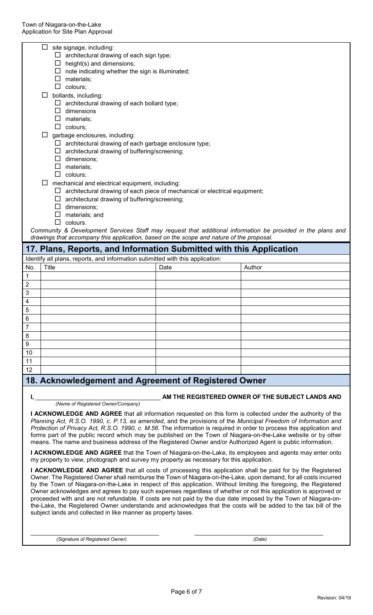|                         | Ц.                                                                                | site signage, including:                                                                 |      |                                                                                                             |  |  |  |
|-------------------------|-----------------------------------------------------------------------------------|------------------------------------------------------------------------------------------|------|-------------------------------------------------------------------------------------------------------------|--|--|--|
|                         |                                                                                   | $\Box$ architectural drawing of each sign type;<br>$\Box$ height(s) and dimensions;      |      |                                                                                                             |  |  |  |
|                         |                                                                                   | $\Box$ note indicating whether the sign is illuminated;                                  |      |                                                                                                             |  |  |  |
|                         |                                                                                   | $\Box$ materials;                                                                        |      |                                                                                                             |  |  |  |
|                         |                                                                                   | $\Box$ colours;                                                                          |      |                                                                                                             |  |  |  |
|                         |                                                                                   | bollards, including:                                                                     |      |                                                                                                             |  |  |  |
|                         |                                                                                   | $\Box$ architectural drawing of each bollard type;                                       |      |                                                                                                             |  |  |  |
|                         |                                                                                   | $\Box$ dimensions                                                                        |      |                                                                                                             |  |  |  |
|                         |                                                                                   | $\Box$ materials;                                                                        |      |                                                                                                             |  |  |  |
|                         |                                                                                   | $\Box$ colours;                                                                          |      |                                                                                                             |  |  |  |
|                         |                                                                                   | garbage enclosures, including:                                                           |      |                                                                                                             |  |  |  |
|                         |                                                                                   | $\Box$ architectural drawing of each garbage enclosure type;                             |      |                                                                                                             |  |  |  |
|                         |                                                                                   | $\Box$ architectural drawing of buffering/screening;                                     |      |                                                                                                             |  |  |  |
|                         |                                                                                   | $\Box$ dimensions;                                                                       |      |                                                                                                             |  |  |  |
|                         |                                                                                   | $\square$ materials;                                                                     |      |                                                                                                             |  |  |  |
|                         |                                                                                   | $\Box$ colours;                                                                          |      |                                                                                                             |  |  |  |
|                         |                                                                                   | mechanical and electrical equipment, including:                                          |      |                                                                                                             |  |  |  |
|                         | $\Box$ architectural drawing of each piece of mechanical or electrical equipment; |                                                                                          |      |                                                                                                             |  |  |  |
|                         |                                                                                   | $\Box$ architectural drawing of buffering/screening;                                     |      |                                                                                                             |  |  |  |
|                         | $\Box$ dimensions:                                                                |                                                                                          |      |                                                                                                             |  |  |  |
|                         | $\Box$ materials; and                                                             |                                                                                          |      |                                                                                                             |  |  |  |
|                         | П                                                                                 | colours.                                                                                 |      |                                                                                                             |  |  |  |
|                         |                                                                                   | drawings that accompany this application, based on the scope and nature of the proposal. |      | Community & Development Services Staff may request that additional information be provided in the plans and |  |  |  |
|                         |                                                                                   | 17. Plans, Reports, and Information Submitted with this Application                      |      |                                                                                                             |  |  |  |
|                         |                                                                                   | Identify all plans, reports, and information submitted with this application:            |      |                                                                                                             |  |  |  |
| No.                     | Title                                                                             |                                                                                          | Date | Author                                                                                                      |  |  |  |
| 1                       |                                                                                   |                                                                                          |      |                                                                                                             |  |  |  |
| $\overline{\mathbf{c}}$ |                                                                                   |                                                                                          |      |                                                                                                             |  |  |  |
| $\overline{3}$          |                                                                                   |                                                                                          |      |                                                                                                             |  |  |  |
| 4                       |                                                                                   |                                                                                          |      |                                                                                                             |  |  |  |
| $\mathbf 5$             |                                                                                   |                                                                                          |      |                                                                                                             |  |  |  |
| $\,6$                   |                                                                                   |                                                                                          |      |                                                                                                             |  |  |  |
| $\overline{7}$          |                                                                                   |                                                                                          |      |                                                                                                             |  |  |  |
| 8                       |                                                                                   |                                                                                          |      |                                                                                                             |  |  |  |
| 9                       |                                                                                   |                                                                                          |      |                                                                                                             |  |  |  |
| 10                      |                                                                                   |                                                                                          |      |                                                                                                             |  |  |  |
| 11                      |                                                                                   |                                                                                          |      |                                                                                                             |  |  |  |
| 12                      |                                                                                   |                                                                                          |      |                                                                                                             |  |  |  |
|                         |                                                                                   | 18. Acknowledgement and Agreement of Registered Owner                                    |      |                                                                                                             |  |  |  |

### **I,** \_\_\_\_\_\_\_\_\_\_\_\_\_\_\_\_\_\_\_\_\_\_\_\_\_\_\_\_\_\_\_\_\_\_\_\_\_ **AM THE REGISTERED OWNER OF THE SUBJECT LANDS AND**

 *(Name of Registered Owner/Company)*

**I ACKNOWLEDGE AND AGREE** that all information requested on this form is collected under the authority of the *Planning Act, R.S.O. 1990, c. P.13, as amended*, and the provisions of the *Municipal Freedom of Information and Protection of Privacy Act, R.S.O. 1990, c. M.56*. The information is required in order to process this application and forms part of the public record which may be published on the Town of Niagara-on-the-Lake website or by other means. The name and business address of the Registered Owner and/or Authorized Agent is public information.

**I ACKNOWLEDGE AND AGREE** that the Town of Niagara-on-the-Lake, its employees and agents may enter onto my property to view, photograph and survey my property as necessary for this application.

**I ACKNOWLEDGE AND AGREE** that all costs of processing this application shall be paid for by the Registered Owner. The Registered Owner shall reimburse the Town of Niagara-on-the-Lake, upon demand, for all costs incurred by the Town of Niagara-on-the-Lake in respect of this application. Without limiting the foregoing, the Registered Owner acknowledges and agrees to pay such expenses regardless of whether or not this application is approved or proceeded with and are not refundable. If costs are not paid by the due date imposed by the Town of Niagara-onthe-Lake, the Registered Owner understands and acknowledges that the costs will be added to the tax bill of the subject lands and collected in like manner as property taxes.

\_\_\_\_\_\_\_\_\_\_\_\_\_\_\_\_\_\_\_\_\_\_\_\_\_\_\_\_\_\_\_\_\_\_\_\_\_\_  *(Signature of Registered Owner)*

\_\_\_\_\_\_\_\_\_\_\_\_\_\_\_\_\_\_\_\_\_\_\_\_\_\_\_\_\_\_\_\_\_\_\_\_\_\_  *(Date)*